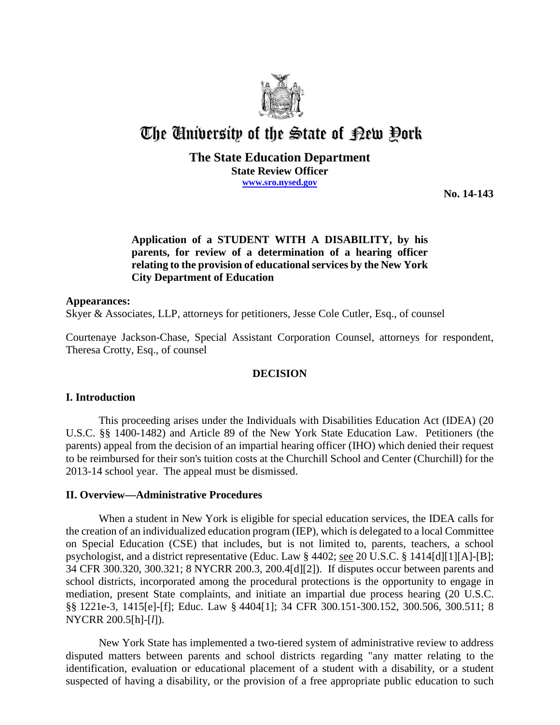

# The University of the State of Pew Pork

## **The State Education Department State Review Officer www.sro.nysed.gov**

**No. 14-143**

# **Application of a STUDENT WITH A DISABILITY, by his parents, for review of a determination of a hearing officer relating to the provision of educational services by the New York City Department of Education**

#### **Appearances:**

Skyer & Associates, LLP, attorneys for petitioners, Jesse Cole Cutler, Esq., of counsel

Courtenaye Jackson-Chase, Special Assistant Corporation Counsel, attorneys for respondent, Theresa Crotty, Esq., of counsel

## **DECISION**

## **I. Introduction**

This proceeding arises under the Individuals with Disabilities Education Act (IDEA) (20 U.S.C. §§ 1400-1482) and Article 89 of the New York State Education Law. Petitioners (the parents) appeal from the decision of an impartial hearing officer (IHO) which denied their request to be reimbursed for their son's tuition costs at the Churchill School and Center (Churchill) for the 2013-14 school year. The appeal must be dismissed.

## **II. Overview—Administrative Procedures**

When a student in New York is eligible for special education services, the IDEA calls for the creation of an individualized education program (IEP), which is delegated to a local Committee on Special Education (CSE) that includes, but is not limited to, parents, teachers, a school psychologist, and a district representative (Educ. Law § 4402; see 20 U.S.C. § 1414[d][1][A]-[B]; 34 CFR 300.320, 300.321; 8 NYCRR 200.3, 200.4[d][2]). If disputes occur between parents and school districts, incorporated among the procedural protections is the opportunity to engage in mediation, present State complaints, and initiate an impartial due process hearing (20 U.S.C. §§ 1221e-3, 1415[e]-[f]; Educ. Law § 4404[1]; 34 CFR 300.151-300.152, 300.506, 300.511; 8 NYCRR 200.5[h]-[*l*]).

New York State has implemented a two-tiered system of administrative review to address disputed matters between parents and school districts regarding "any matter relating to the identification, evaluation or educational placement of a student with a disability, or a student suspected of having a disability, or the provision of a free appropriate public education to such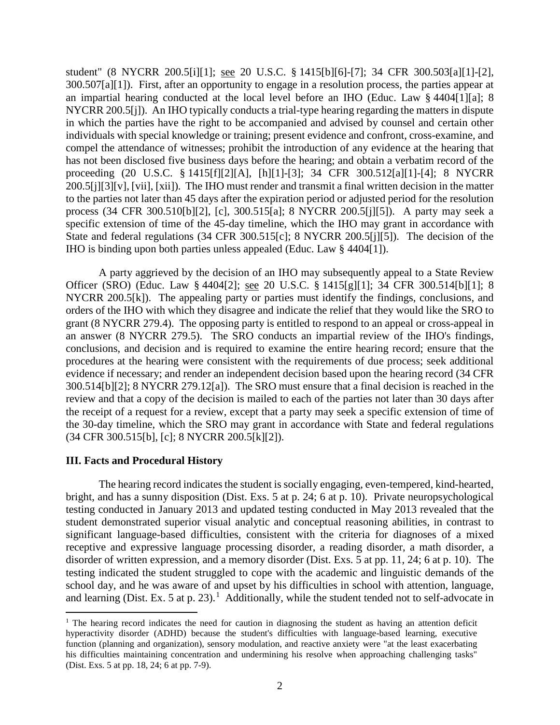student" (8 NYCRR 200.5[i][1]; see 20 U.S.C. § 1415[b][6]-[7]; 34 CFR 300.503[a][1]-[2], 300.507[a][1]). First, after an opportunity to engage in a resolution process, the parties appear at an impartial hearing conducted at the local level before an IHO (Educ. Law § 4404[1][a]; 8 NYCRR 200.5[j]). An IHO typically conducts a trial-type hearing regarding the matters in dispute in which the parties have the right to be accompanied and advised by counsel and certain other individuals with special knowledge or training; present evidence and confront, cross-examine, and compel the attendance of witnesses; prohibit the introduction of any evidence at the hearing that has not been disclosed five business days before the hearing; and obtain a verbatim record of the proceeding (20 U.S.C. § 1415[f][2][A], [h][1]-[3]; 34 CFR 300.512[a][1]-[4]; 8 NYCRR 200.5[j][3][v], [vii], [xii]). The IHO must render and transmit a final written decision in the matter to the parties not later than 45 days after the expiration period or adjusted period for the resolution process (34 CFR 300.510[b][2], [c], 300.515[a]; 8 NYCRR 200.5[j][5]). A party may seek a specific extension of time of the 45-day timeline, which the IHO may grant in accordance with State and federal regulations (34 CFR 300.515[c]; 8 NYCRR 200.5[j][5]). The decision of the IHO is binding upon both parties unless appealed (Educ. Law § 4404[1]).

A party aggrieved by the decision of an IHO may subsequently appeal to a State Review Officer (SRO) (Educ. Law § 4404[2]; see 20 U.S.C. § 1415[g][1]; 34 CFR 300.514[b][1]; 8 NYCRR 200.5[k]). The appealing party or parties must identify the findings, conclusions, and orders of the IHO with which they disagree and indicate the relief that they would like the SRO to grant (8 NYCRR 279.4). The opposing party is entitled to respond to an appeal or cross-appeal in an answer (8 NYCRR 279.5). The SRO conducts an impartial review of the IHO's findings, conclusions, and decision and is required to examine the entire hearing record; ensure that the procedures at the hearing were consistent with the requirements of due process; seek additional evidence if necessary; and render an independent decision based upon the hearing record (34 CFR 300.514[b][2]; 8 NYCRR 279.12[a]). The SRO must ensure that a final decision is reached in the review and that a copy of the decision is mailed to each of the parties not later than 30 days after the receipt of a request for a review, except that a party may seek a specific extension of time of the 30-day timeline, which the SRO may grant in accordance with State and federal regulations (34 CFR 300.515[b], [c]; 8 NYCRR 200.5[k][2]).

#### **III. Facts and Procedural History**

 $\overline{a}$ 

The hearing record indicates the student is socially engaging, even-tempered, kind-hearted, bright, and has a sunny disposition (Dist. Exs. 5 at p. 24; 6 at p. 10). Private neuropsychological testing conducted in January 2013 and updated testing conducted in May 2013 revealed that the student demonstrated superior visual analytic and conceptual reasoning abilities, in contrast to significant language-based difficulties, consistent with the criteria for diagnoses of a mixed receptive and expressive language processing disorder, a reading disorder, a math disorder, a disorder of written expression, and a memory disorder (Dist. Exs. 5 at pp. 11, 24; 6 at p. 10). The testing indicated the student struggled to cope with the academic and linguistic demands of the school day, and he was aware of and upset by his difficulties in school with attention, language, and learning (Dist. Ex. 5 at p.  $23$ ).<sup>1</sup> Additionally, while the student tended not to self-advocate in

<sup>&</sup>lt;sup>1</sup> The hearing record indicates the need for caution in diagnosing the student as having an attention deficit hyperactivity disorder (ADHD) because the student's difficulties with language-based learning, executive function (planning and organization), sensory modulation, and reactive anxiety were "at the least exacerbating his difficulties maintaining concentration and undermining his resolve when approaching challenging tasks" (Dist. Exs. 5 at pp. 18, 24; 6 at pp. 7-9).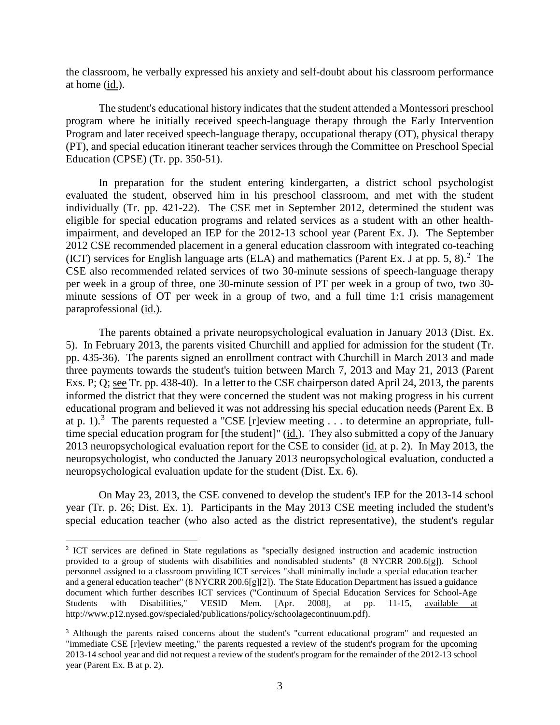the classroom, he verbally expressed his anxiety and self-doubt about his classroom performance at home (id.).

The student's educational history indicates that the student attended a Montessori preschool program where he initially received speech-language therapy through the Early Intervention Program and later received speech-language therapy, occupational therapy (OT), physical therapy (PT), and special education itinerant teacher services through the Committee on Preschool Special Education (CPSE) (Tr. pp. 350-51).

In preparation for the student entering kindergarten, a district school psychologist evaluated the student, observed him in his preschool classroom, and met with the student individually (Tr. pp. 421-22). The CSE met in September 2012, determined the student was eligible for special education programs and related services as a student with an other healthimpairment, and developed an IEP for the 2012-13 school year (Parent Ex. J). The September 2012 CSE recommended placement in a general education classroom with integrated co-teaching (ICT) services for English language arts (ELA) and mathematics (Parent Ex. J at pp. 5, 8).<sup>2</sup> The CSE also recommended related services of two 30-minute sessions of speech-language therapy per week in a group of three, one 30-minute session of PT per week in a group of two, two 30 minute sessions of OT per week in a group of two, and a full time 1:1 crisis management paraprofessional (id.).

The parents obtained a private neuropsychological evaluation in January 2013 (Dist. Ex. 5). In February 2013, the parents visited Churchill and applied for admission for the student (Tr. pp. 435-36). The parents signed an enrollment contract with Churchill in March 2013 and made three payments towards the student's tuition between March 7, 2013 and May 21, 2013 (Parent Exs. P; Q; see Tr. pp. 438-40). In a letter to the CSE chairperson dated April 24, 2013, the parents informed the district that they were concerned the student was not making progress in his current educational program and believed it was not addressing his special education needs (Parent Ex. B at p. 1).<sup>3</sup> The parents requested a "CSE [r]eview meeting  $\dots$  to determine an appropriate, fulltime special education program for [the student]" (id.). They also submitted a copy of the January 2013 neuropsychological evaluation report for the CSE to consider (id. at p. 2). In May 2013, the neuropsychologist, who conducted the January 2013 neuropsychological evaluation, conducted a neuropsychological evaluation update for the student (Dist. Ex. 6).

On May 23, 2013, the CSE convened to develop the student's IEP for the 2013-14 school year (Tr. p. 26; Dist. Ex. 1). Participants in the May 2013 CSE meeting included the student's special education teacher (who also acted as the district representative), the student's regular

<sup>2</sup> ICT services are defined in State regulations as "specially designed instruction and academic instruction provided to a group of students with disabilities and nondisabled students" (8 NYCRR 200.6[g]). School personnel assigned to a classroom providing ICT services "shall minimally include a special education teacher and a general education teacher" (8 NYCRR 200.6[g][2]). The State Education Department has issued a guidance document which further describes ICT services ("Continuum of Special Education Services for School-Age Students with Disabilities," VESID Mem. [Apr. 2008], at pp. 11-15, available at http://www.p12.nysed.gov/specialed/publications/policy/schoolagecontinuum.pdf).

<sup>&</sup>lt;sup>3</sup> Although the parents raised concerns about the student's "current educational program" and requested an "immediate CSE [r]eview meeting," the parents requested a review of the student's program for the upcoming 2013-14 school year and did not request a review of the student's program for the remainder of the 2012-13 school year (Parent Ex. B at p. 2).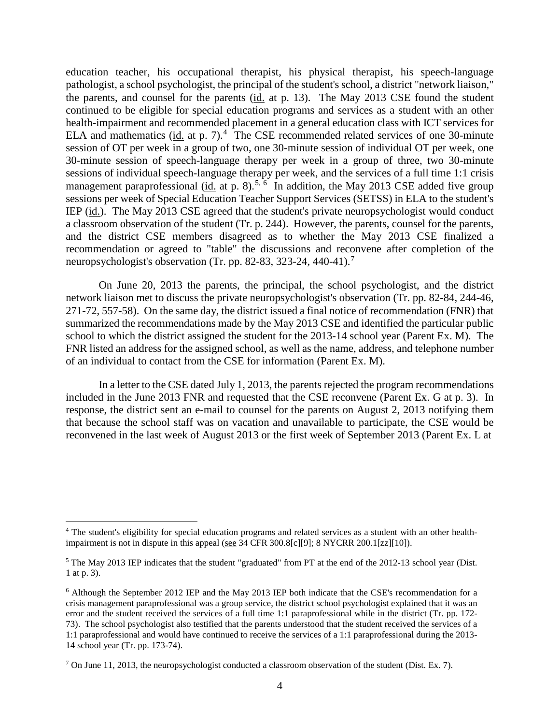education teacher, his occupational therapist, his physical therapist, his speech-language pathologist, a school psychologist, the principal of the student's school, a district "network liaison," the parents, and counsel for the parents (id. at p. 13). The May 2013 CSE found the student continued to be eligible for special education programs and services as a student with an other health-impairment and recommended placement in a general education class with ICT services for ELA and mathematics  $(id$ . at p. 7).<sup>4</sup> The CSE recommended related services of one 30-minute session of OT per week in a group of two, one 30-minute session of individual OT per week, one 30-minute session of speech-language therapy per week in a group of three, two 30-minute sessions of individual speech-language therapy per week, and the services of a full time 1:1 crisis management paraprofessional (*id.* at p. 8).<sup>5, 6</sup> In addition, the May 2013 CSE added five group sessions per week of Special Education Teacher Support Services (SETSS) in ELA to the student's IEP (id.). The May 2013 CSE agreed that the student's private neuropsychologist would conduct a classroom observation of the student (Tr. p. 244). However, the parents, counsel for the parents, and the district CSE members disagreed as to whether the May 2013 CSE finalized a recommendation or agreed to "table" the discussions and reconvene after completion of the neuropsychologist's observation (Tr. pp. 82-83, 323-24, 440-41).<sup>7</sup>

On June 20, 2013 the parents, the principal, the school psychologist, and the district network liaison met to discuss the private neuropsychologist's observation (Tr. pp. 82-84, 244-46, 271-72, 557-58). On the same day, the district issued a final notice of recommendation (FNR) that summarized the recommendations made by the May 2013 CSE and identified the particular public school to which the district assigned the student for the 2013-14 school year (Parent Ex. M). The FNR listed an address for the assigned school, as well as the name, address, and telephone number of an individual to contact from the CSE for information (Parent Ex. M).

In a letter to the CSE dated July 1, 2013, the parents rejected the program recommendations included in the June 2013 FNR and requested that the CSE reconvene (Parent Ex. G at p. 3). In response, the district sent an e-mail to counsel for the parents on August 2, 2013 notifying them that because the school staff was on vacation and unavailable to participate, the CSE would be reconvened in the last week of August 2013 or the first week of September 2013 (Parent Ex. L at

<sup>4</sup> The student's eligibility for special education programs and related services as a student with an other healthimpairment is not in dispute in this appeal (see  $34$  CFR 300.8[c][9]; 8 NYCRR 200.1[zz][10]).

<sup>5</sup> The May 2013 IEP indicates that the student "graduated" from PT at the end of the 2012-13 school year (Dist. 1 at p. 3).

<sup>6</sup> Although the September 2012 IEP and the May 2013 IEP both indicate that the CSE's recommendation for a crisis management paraprofessional was a group service, the district school psychologist explained that it was an error and the student received the services of a full time 1:1 paraprofessional while in the district (Tr. pp. 172- 73). The school psychologist also testified that the parents understood that the student received the services of a 1:1 paraprofessional and would have continued to receive the services of a 1:1 paraprofessional during the 2013- 14 school year (Tr. pp. 173-74).

<sup>&</sup>lt;sup>7</sup> On June 11, 2013, the neuropsychologist conducted a classroom observation of the student (Dist. Ex. 7).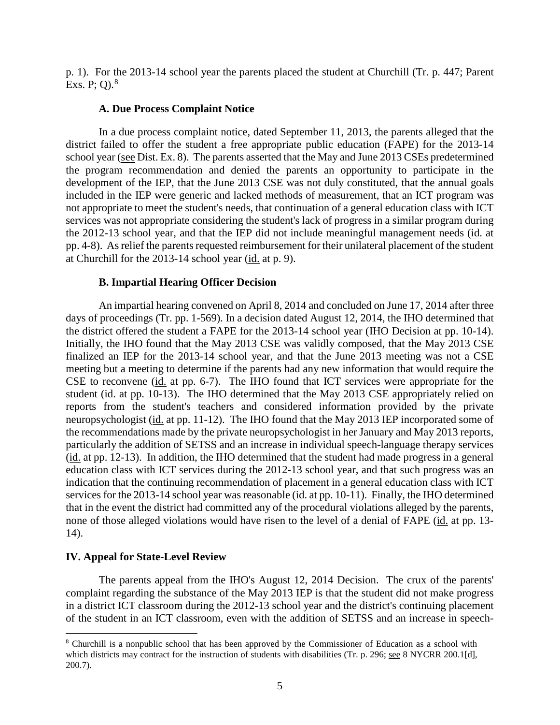p. 1). For the 2013-14 school year the parents placed the student at Churchill (Tr. p. 447; Parent Exs. P; Q). $^{8}$ 

#### **A. Due Process Complaint Notice**

In a due process complaint notice, dated September 11, 2013, the parents alleged that the district failed to offer the student a free appropriate public education (FAPE) for the 2013-14 school year (see Dist. Ex. 8). The parents asserted that the May and June 2013 CSEs predetermined the program recommendation and denied the parents an opportunity to participate in the development of the IEP, that the June 2013 CSE was not duly constituted, that the annual goals included in the IEP were generic and lacked methods of measurement, that an ICT program was not appropriate to meet the student's needs, that continuation of a general education class with ICT services was not appropriate considering the student's lack of progress in a similar program during the 2012-13 school year, and that the IEP did not include meaningful management needs (id. at pp. 4-8). As relief the parents requested reimbursement for their unilateral placement of the student at Churchill for the 2013-14 school year (id. at p. 9).

#### **B. Impartial Hearing Officer Decision**

An impartial hearing convened on April 8, 2014 and concluded on June 17, 2014 after three days of proceedings (Tr. pp. 1-569). In a decision dated August 12, 2014, the IHO determined that the district offered the student a FAPE for the 2013-14 school year (IHO Decision at pp. 10-14). Initially, the IHO found that the May 2013 CSE was validly composed, that the May 2013 CSE finalized an IEP for the 2013-14 school year, and that the June 2013 meeting was not a CSE meeting but a meeting to determine if the parents had any new information that would require the CSE to reconvene (id. at pp. 6-7). The IHO found that ICT services were appropriate for the student (id. at pp. 10-13). The IHO determined that the May 2013 CSE appropriately relied on reports from the student's teachers and considered information provided by the private neuropsychologist (id. at pp. 11-12). The IHO found that the May 2013 IEP incorporated some of the recommendations made by the private neuropsychologist in her January and May 2013 reports, particularly the addition of SETSS and an increase in individual speech-language therapy services (id. at pp. 12-13). In addition, the IHO determined that the student had made progress in a general education class with ICT services during the 2012-13 school year, and that such progress was an indication that the continuing recommendation of placement in a general education class with ICT services for the 2013-14 school year was reasonable (id. at pp. 10-11). Finally, the IHO determined that in the event the district had committed any of the procedural violations alleged by the parents, none of those alleged violations would have risen to the level of a denial of FAPE (id. at pp. 13- 14).

## **IV. Appeal for State-Level Review**

The parents appeal from the IHO's August 12, 2014 Decision. The crux of the parents' complaint regarding the substance of the May 2013 IEP is that the student did not make progress in a district ICT classroom during the 2012-13 school year and the district's continuing placement of the student in an ICT classroom, even with the addition of SETSS and an increase in speech-

 $\overline{a}$ <sup>8</sup> Churchill is a nonpublic school that has been approved by the Commissioner of Education as a school with which districts may contract for the instruction of students with disabilities (Tr. p. 296; see 8 NYCRR 200.1[d], 200.7).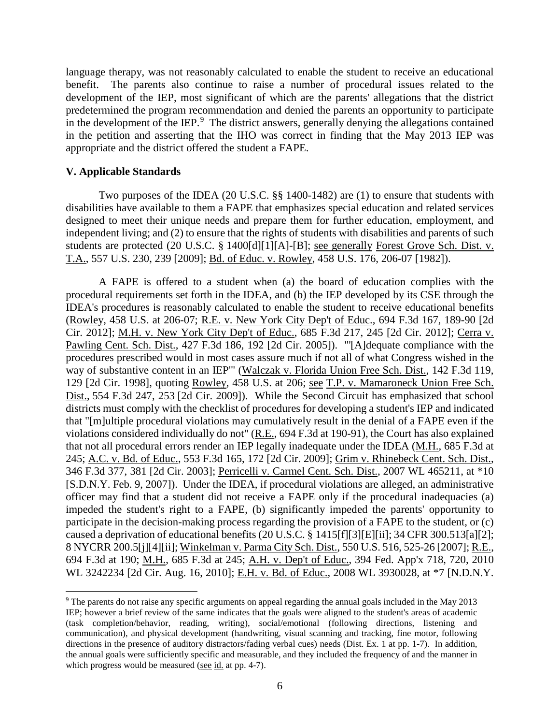language therapy, was not reasonably calculated to enable the student to receive an educational benefit. The parents also continue to raise a number of procedural issues related to the development of the IEP, most significant of which are the parents' allegations that the district predetermined the program recommendation and denied the parents an opportunity to participate in the development of the IEP.<sup>9</sup> The district answers, generally denying the allegations contained in the petition and asserting that the IHO was correct in finding that the May 2013 IEP was appropriate and the district offered the student a FAPE.

#### **V. Applicable Standards**

Two purposes of the IDEA (20 U.S.C. §§ 1400-1482) are (1) to ensure that students with disabilities have available to them a FAPE that emphasizes special education and related services designed to meet their unique needs and prepare them for further education, employment, and independent living; and (2) to ensure that the rights of students with disabilities and parents of such students are protected (20 U.S.C. § 1400[d][1][A]-[B]; see generally Forest Grove Sch. Dist. v. T.A., 557 U.S. 230, 239 [2009]; Bd. of Educ. v. Rowley, 458 U.S. 176, 206-07 [1982]).

A FAPE is offered to a student when (a) the board of education complies with the procedural requirements set forth in the IDEA, and (b) the IEP developed by its CSE through the IDEA's procedures is reasonably calculated to enable the student to receive educational benefits (Rowley, 458 U.S. at 206-07; R.E. v. New York City Dep't of Educ., 694 F.3d 167, 189-90 [2d Cir. 2012]; M.H. v. New York City Dep't of Educ., 685 F.3d 217, 245 [2d Cir. 2012]; Cerra v. Pawling Cent. Sch. Dist., 427 F.3d 186, 192 [2d Cir. 2005]). "'[A]dequate compliance with the procedures prescribed would in most cases assure much if not all of what Congress wished in the way of substantive content in an IEP'" (Walczak v. Florida Union Free Sch. Dist., 142 F.3d 119, 129 [2d Cir. 1998], quoting Rowley, 458 U.S. at 206; see T.P. v. Mamaroneck Union Free Sch. Dist., 554 F.3d 247, 253 [2d Cir. 2009]). While the Second Circuit has emphasized that school districts must comply with the checklist of procedures for developing a student's IEP and indicated that "[m]ultiple procedural violations may cumulatively result in the denial of a FAPE even if the violations considered individually do not" (R.E., 694 F.3d at 190-91), the Court has also explained that not all procedural errors render an IEP legally inadequate under the IDEA (M.H., 685 F.3d at 245; A.C. v. Bd. of Educ., 553 F.3d 165, 172 [2d Cir. 2009]; Grim v. Rhinebeck Cent. Sch. Dist., 346 F.3d 377, 381 [2d Cir. 2003]; Perricelli v. Carmel Cent. Sch. Dist., 2007 WL 465211, at \*10 [S.D.N.Y. Feb. 9, 2007]). Under the IDEA, if procedural violations are alleged, an administrative officer may find that a student did not receive a FAPE only if the procedural inadequacies (a) impeded the student's right to a FAPE, (b) significantly impeded the parents' opportunity to participate in the decision-making process regarding the provision of a FAPE to the student, or (c) caused a deprivation of educational benefits (20 U.S.C. § 1415[f][3][E][ii]; 34 CFR 300.513[a][2]; 8 NYCRR 200.5[j][4][ii]; Winkelman v. Parma City Sch. Dist., 550 U.S. 516, 525-26 [2007]; R.E., 694 F.3d at 190; M.H., 685 F.3d at 245; A.H. v. Dep't of Educ., 394 Fed. App'x 718, 720, 2010 WL 3242234 [2d Cir. Aug. 16, 2010]; E.H. v. Bd. of Educ., 2008 WL 3930028, at \*7 [N.D.N.Y.

<sup>&</sup>lt;sup>9</sup> The parents do not raise any specific arguments on appeal regarding the annual goals included in the May 2013 IEP; however a brief review of the same indicates that the goals were aligned to the student's areas of academic (task completion/behavior, reading, writing), social/emotional (following directions, listening and communication), and physical development (handwriting, visual scanning and tracking, fine motor, following directions in the presence of auditory distractors/fading verbal cues) needs (Dist. Ex. 1 at pp. 1-7). In addition, the annual goals were sufficiently specific and measurable, and they included the frequency of and the manner in which progress would be measured (see  $id$ . at pp. 4-7).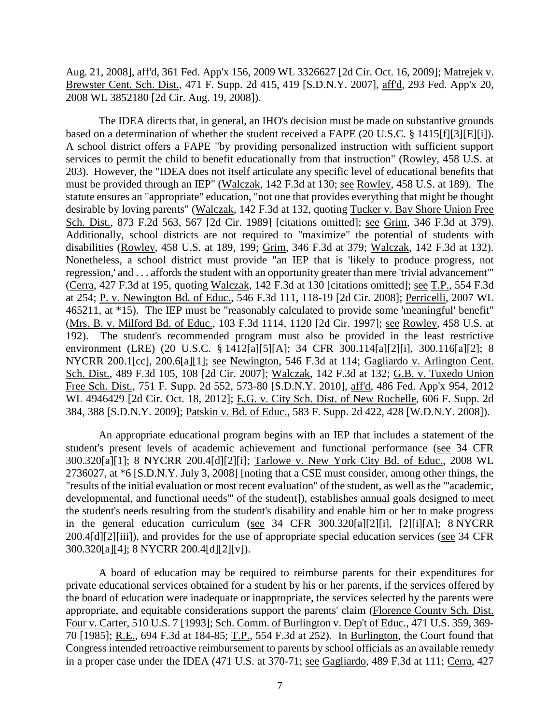Aug. 21, 2008], aff'd, 361 Fed. App'x 156, 2009 WL 3326627 [2d Cir. Oct. 16, 2009]; Matrejek v. Brewster Cent. Sch. Dist., 471 F. Supp. 2d 415, 419 [S.D.N.Y. 2007], aff'd, 293 Fed. App'x 20, 2008 WL 3852180 [2d Cir. Aug. 19, 2008]).

The IDEA directs that, in general, an IHO's decision must be made on substantive grounds based on a determination of whether the student received a FAPE (20 U.S.C. § 1415[f][3][E][i]). A school district offers a FAPE "by providing personalized instruction with sufficient support services to permit the child to benefit educationally from that instruction" (Rowley, 458 U.S. at 203). However, the "IDEA does not itself articulate any specific level of educational benefits that must be provided through an IEP" (Walczak, 142 F.3d at 130; see Rowley, 458 U.S. at 189). The statute ensures an "appropriate" education, "not one that provides everything that might be thought desirable by loving parents" (Walczak, 142 F.3d at 132, quoting Tucker v. Bay Shore Union Free Sch. Dist., 873 F.2d 563, 567 [2d Cir. 1989] [citations omitted]; see Grim, 346 F.3d at 379). Additionally, school districts are not required to "maximize" the potential of students with disabilities (Rowley, 458 U.S. at 189, 199; Grim, 346 F.3d at 379; Walczak, 142 F.3d at 132). Nonetheless, a school district must provide "an IEP that is 'likely to produce progress, not regression,' and . . . affords the student with an opportunity greater than mere 'trivial advancement'" (Cerra, 427 F.3d at 195, quoting Walczak, 142 F.3d at 130 [citations omitted]; see T.P., 554 F.3d at 254; P. v. Newington Bd. of Educ., 546 F.3d 111, 118-19 [2d Cir. 2008]; Perricelli, 2007 WL 465211, at \*15). The IEP must be "reasonably calculated to provide some 'meaningful' benefit" (Mrs. B. v. Milford Bd. of Educ., 103 F.3d 1114, 1120 [2d Cir. 1997]; see Rowley, 458 U.S. at 192). The student's recommended program must also be provided in the least restrictive environment (LRE) (20 U.S.C. § 1412[a][5][A]; 34 CFR 300.114[a][2][i], 300.116[a][2]; 8 NYCRR 200.1[cc], 200.6[a][1]; see Newington, 546 F.3d at 114; Gagliardo v. Arlington Cent. Sch. Dist., 489 F.3d 105, 108 [2d Cir. 2007]; Walczak, 142 F.3d at 132; G.B. v. Tuxedo Union Free Sch. Dist., 751 F. Supp. 2d 552, 573-80 [S.D.N.Y. 2010], aff'd, 486 Fed. App'x 954, 2012 WL 4946429 [2d Cir. Oct. 18, 2012]; E.G. v. City Sch. Dist. of New Rochelle, 606 F. Supp. 2d 384, 388 [S.D.N.Y. 2009]; Patskin v. Bd. of Educ., 583 F. Supp. 2d 422, 428 [W.D.N.Y. 2008]).

An appropriate educational program begins with an IEP that includes a statement of the student's present levels of academic achievement and functional performance (see 34 CFR 300.320[a][1]; 8 NYCRR 200.4[d][2][i]; Tarlowe v. New York City Bd. of Educ., 2008 WL 2736027, at \*6 [S.D.N.Y. July 3, 2008] [noting that a CSE must consider, among other things, the "results of the initial evaluation or most recent evaluation" of the student, as well as the "'academic, developmental, and functional needs'" of the student]), establishes annual goals designed to meet the student's needs resulting from the student's disability and enable him or her to make progress in the general education curriculum (see 34 CFR 300.320[a][2][i], [2][i][A]; 8 NYCRR 200.4[d][2][iii]), and provides for the use of appropriate special education services (see 34 CFR 300.320[a][4]; 8 NYCRR 200.4[d][2][v]).

A board of education may be required to reimburse parents for their expenditures for private educational services obtained for a student by his or her parents, if the services offered by the board of education were inadequate or inappropriate, the services selected by the parents were appropriate, and equitable considerations support the parents' claim (Florence County Sch. Dist. Four v. Carter, 510 U.S. 7 [1993]; Sch. Comm. of Burlington v. Dep't of Educ., 471 U.S. 359, 369- 70 [1985]; R.E., 694 F.3d at 184-85; T.P., 554 F.3d at 252). In Burlington, the Court found that Congress intended retroactive reimbursement to parents by school officials as an available remedy in a proper case under the IDEA (471 U.S. at 370-71; see Gagliardo, 489 F.3d at 111; Cerra, 427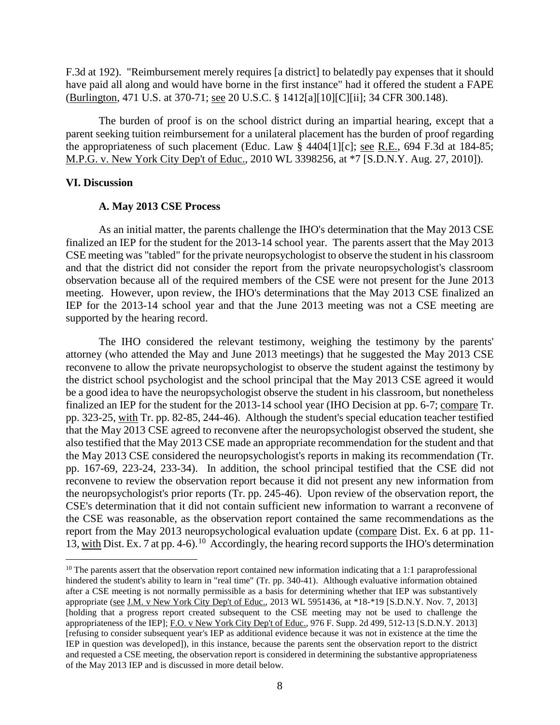F.3d at 192). "Reimbursement merely requires [a district] to belatedly pay expenses that it should have paid all along and would have borne in the first instance" had it offered the student a FAPE (Burlington, 471 U.S. at 370-71; see 20 U.S.C. § 1412[a][10][C][ii]; 34 CFR 300.148).

The burden of proof is on the school district during an impartial hearing, except that a parent seeking tuition reimbursement for a unilateral placement has the burden of proof regarding the appropriateness of such placement (Educ. Law § 4404[1][c]; see R.E., 694 F.3d at 184-85; M.P.G. v. New York City Dep't of Educ., 2010 WL 3398256, at \*7 [S.D.N.Y. Aug. 27, 2010]).

#### **VI. Discussion**

 $\overline{a}$ 

#### **A. May 2013 CSE Process**

As an initial matter, the parents challenge the IHO's determination that the May 2013 CSE finalized an IEP for the student for the 2013-14 school year. The parents assert that the May 2013 CSE meeting was "tabled" for the private neuropsychologist to observe the student in his classroom and that the district did not consider the report from the private neuropsychologist's classroom observation because all of the required members of the CSE were not present for the June 2013 meeting. However, upon review, the IHO's determinations that the May 2013 CSE finalized an IEP for the 2013-14 school year and that the June 2013 meeting was not a CSE meeting are supported by the hearing record.

The IHO considered the relevant testimony, weighing the testimony by the parents' attorney (who attended the May and June 2013 meetings) that he suggested the May 2013 CSE reconvene to allow the private neuropsychologist to observe the student against the testimony by the district school psychologist and the school principal that the May 2013 CSE agreed it would be a good idea to have the neuropsychologist observe the student in his classroom, but nonetheless finalized an IEP for the student for the 2013-14 school year (IHO Decision at pp. 6-7; compare Tr. pp. 323-25, with Tr. pp. 82-85, 244-46). Although the student's special education teacher testified that the May 2013 CSE agreed to reconvene after the neuropsychologist observed the student, she also testified that the May 2013 CSE made an appropriate recommendation for the student and that the May 2013 CSE considered the neuropsychologist's reports in making its recommendation (Tr. pp. 167-69, 223-24, 233-34). In addition, the school principal testified that the CSE did not reconvene to review the observation report because it did not present any new information from the neuropsychologist's prior reports (Tr. pp. 245-46). Upon review of the observation report, the CSE's determination that it did not contain sufficient new information to warrant a reconvene of the CSE was reasonable, as the observation report contained the same recommendations as the report from the May 2013 neuropsychological evaluation update (compare Dist. Ex. 6 at pp. 11- 13, with Dist. Ex. 7 at pp. 4-6).10 Accordingly, the hearing record supports the IHO's determination

 $10$  The parents assert that the observation report contained new information indicating that a 1:1 paraprofessional hindered the student's ability to learn in "real time" (Tr. pp. 340-41). Although evaluative information obtained after a CSE meeting is not normally permissible as a basis for determining whether that IEP was substantively appropriate (see J.M. v New York City Dep't of Educ., 2013 WL 5951436, at \*18-\*19 [S.D.N.Y. Nov. 7, 2013] [holding that a progress report created subsequent to the CSE meeting may not be used to challenge the appropriateness of the IEP]; F.O. v New York City Dep't of Educ., 976 F. Supp. 2d 499, 512-13 [S.D.N.Y. 2013] [refusing to consider subsequent year's IEP as additional evidence because it was not in existence at the time the IEP in question was developed]), in this instance, because the parents sent the observation report to the district and requested a CSE meeting, the observation report is considered in determining the substantive appropriateness of the May 2013 IEP and is discussed in more detail below.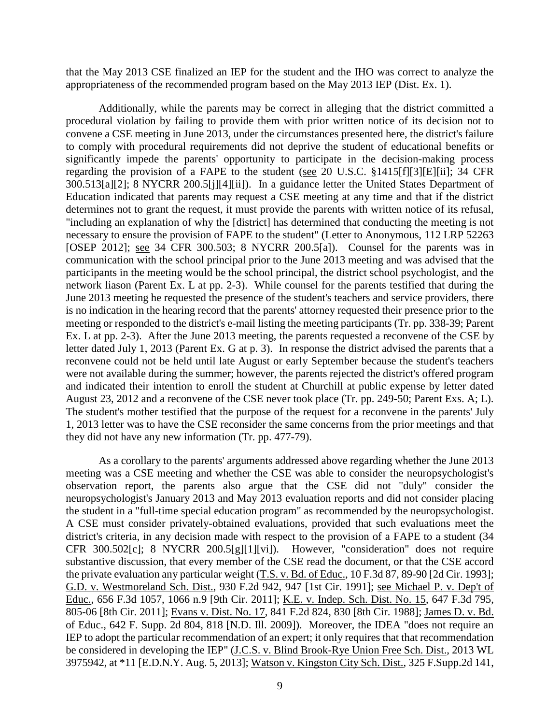that the May 2013 CSE finalized an IEP for the student and the IHO was correct to analyze the appropriateness of the recommended program based on the May 2013 IEP (Dist. Ex. 1).

Additionally, while the parents may be correct in alleging that the district committed a procedural violation by failing to provide them with prior written notice of its decision not to convene a CSE meeting in June 2013, under the circumstances presented here, the district's failure to comply with procedural requirements did not deprive the student of educational benefits or significantly impede the parents' opportunity to participate in the decision-making process regarding the provision of a FAPE to the student (see 20 U.S.C. §1415[f][3][E][ii]; 34 CFR 300.513[a][2]; 8 NYCRR 200.5[j][4][ii]). In a guidance letter the United States Department of Education indicated that parents may request a CSE meeting at any time and that if the district determines not to grant the request, it must provide the parents with written notice of its refusal, "including an explanation of why the [district] has determined that conducting the meeting is not necessary to ensure the provision of FAPE to the student" (Letter to Anonymous, 112 LRP 52263 [OSEP 2012]; see 34 CFR 300.503; 8 NYCRR 200.5[a]). Counsel for the parents was in communication with the school principal prior to the June 2013 meeting and was advised that the participants in the meeting would be the school principal, the district school psychologist, and the network liason (Parent Ex. L at pp. 2-3). While counsel for the parents testified that during the June 2013 meeting he requested the presence of the student's teachers and service providers, there is no indication in the hearing record that the parents' attorney requested their presence prior to the meeting or responded to the district's e-mail listing the meeting participants (Tr. pp. 338-39; Parent Ex. L at pp. 2-3). After the June 2013 meeting, the parents requested a reconvene of the CSE by letter dated July 1, 2013 (Parent Ex. G at p. 3). In response the district advised the parents that a reconvene could not be held until late August or early September because the student's teachers were not available during the summer; however, the parents rejected the district's offered program and indicated their intention to enroll the student at Churchill at public expense by letter dated August 23, 2012 and a reconvene of the CSE never took place (Tr. pp. 249-50; Parent Exs. A; L). The student's mother testified that the purpose of the request for a reconvene in the parents' July 1, 2013 letter was to have the CSE reconsider the same concerns from the prior meetings and that they did not have any new information (Tr. pp. 477-79).

As a corollary to the parents' arguments addressed above regarding whether the June 2013 meeting was a CSE meeting and whether the CSE was able to consider the neuropsychologist's observation report, the parents also argue that the CSE did not "duly" consider the neuropsychologist's January 2013 and May 2013 evaluation reports and did not consider placing the student in a "full-time special education program" as recommended by the neuropsychologist. A CSE must consider privately-obtained evaluations, provided that such evaluations meet the district's criteria, in any decision made with respect to the provision of a FAPE to a student (34 CFR 300.502[c]; 8 NYCRR 200.5[g][1][vi]). However, "consideration" does not require substantive discussion, that every member of the CSE read the document, or that the CSE accord the private evaluation any particular weight (T.S. v. Bd. of Educ., 10 F.3d 87, 89-90 [2d Cir. 1993]; G.D. v. Westmoreland Sch. Dist., 930 F.2d 942, 947 [1st Cir. 1991]; see Michael P. v. Dep't of Educ., 656 F.3d 1057, 1066 n.9 [9th Cir. 2011]; K.E. v. Indep. Sch. Dist. No. 15, 647 F.3d 795, 805-06 [8th Cir. 2011]; Evans v. Dist. No. 17, 841 F.2d 824, 830 [8th Cir. 1988]; James D. v. Bd. of Educ., 642 F. Supp. 2d 804, 818 [N.D. Ill. 2009]). Moreover, the IDEA "does not require an IEP to adopt the particular recommendation of an expert; it only requires that that recommendation be considered in developing the IEP" (J.C.S. v. Blind Brook-Rye Union Free Sch. Dist., 2013 WL 3975942, at \*11 [E.D.N.Y. Aug. 5, 2013]; Watson v. Kingston City Sch. Dist., 325 F.Supp.2d 141,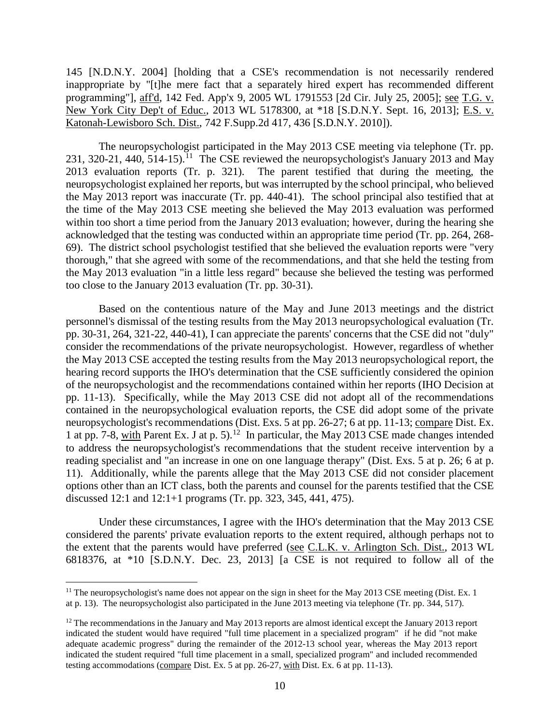145 [N.D.N.Y. 2004] [holding that a CSE's recommendation is not necessarily rendered inappropriate by "[t]he mere fact that a separately hired expert has recommended different programming"], aff'd, 142 Fed. App'x 9, 2005 WL 1791553 [2d Cir. July 25, 2005]; see T.G. v. New York City Dep't of Educ., 2013 WL 5178300, at \*18 [S.D.N.Y. Sept. 16, 2013]; E.S. v. Katonah-Lewisboro Sch. Dist., 742 F.Supp.2d 417, 436 [S.D.N.Y. 2010]).

 The neuropsychologist participated in the May 2013 CSE meeting via telephone (Tr. pp. 231, 320-21, 440, 514-15).<sup>11</sup> The CSE reviewed the neuropsychologist's January 2013 and May 2013 evaluation reports (Tr. p. 321). The parent testified that during the meeting, the neuropsychologist explained her reports, but was interrupted by the school principal, who believed the May 2013 report was inaccurate (Tr. pp. 440-41). The school principal also testified that at the time of the May 2013 CSE meeting she believed the May 2013 evaluation was performed within too short a time period from the January 2013 evaluation; however, during the hearing she acknowledged that the testing was conducted within an appropriate time period (Tr. pp. 264, 268- 69). The district school psychologist testified that she believed the evaluation reports were "very thorough," that she agreed with some of the recommendations, and that she held the testing from the May 2013 evaluation "in a little less regard" because she believed the testing was performed too close to the January 2013 evaluation (Tr. pp. 30-31).

Based on the contentious nature of the May and June 2013 meetings and the district personnel's dismissal of the testing results from the May 2013 neuropsychological evaluation (Tr. pp. 30-31, 264, 321-22, 440-41), I can appreciate the parents' concerns that the CSE did not "duly" consider the recommendations of the private neuropsychologist. However, regardless of whether the May 2013 CSE accepted the testing results from the May 2013 neuropsychological report, the hearing record supports the IHO's determination that the CSE sufficiently considered the opinion of the neuropsychologist and the recommendations contained within her reports (IHO Decision at pp. 11-13). Specifically, while the May 2013 CSE did not adopt all of the recommendations contained in the neuropsychological evaluation reports, the CSE did adopt some of the private neuropsychologist's recommendations (Dist. Exs. 5 at pp. 26-27; 6 at pp. 11-13; compare Dist. Ex. 1 at pp. 7-8, with Parent Ex. J at p. 5).<sup>12</sup> In particular, the May 2013 CSE made changes intended to address the neuropsychologist's recommendations that the student receive intervention by a reading specialist and "an increase in one on one language therapy" (Dist. Exs. 5 at p. 26; 6 at p. 11). Additionally, while the parents allege that the May 2013 CSE did not consider placement options other than an ICT class, both the parents and counsel for the parents testified that the CSE discussed 12:1 and 12:1+1 programs (Tr. pp. 323, 345, 441, 475).

Under these circumstances, I agree with the IHO's determination that the May 2013 CSE considered the parents' private evaluation reports to the extent required, although perhaps not to the extent that the parents would have preferred (see C.L.K. v. Arlington Sch. Dist., 2013 WL 6818376, at \*10 [S.D.N.Y. Dec. 23, 2013] [a CSE is not required to follow all of the

<sup>&</sup>lt;sup>11</sup> The neuropsychologist's name does not appear on the sign in sheet for the May 2013 CSE meeting (Dist. Ex. 1 at p. 13). The neuropsychologist also participated in the June 2013 meeting via telephone (Tr. pp. 344, 517).

<sup>&</sup>lt;sup>12</sup> The recommendations in the January and May 2013 reports are almost identical except the January 2013 report indicated the student would have required "full time placement in a specialized program" if he did "not make adequate academic progress" during the remainder of the 2012-13 school year, whereas the May 2013 report indicated the student required "full time placement in a small, specialized program" and included recommended testing accommodations (compare Dist. Ex. 5 at pp. 26-27, with Dist. Ex. 6 at pp. 11-13).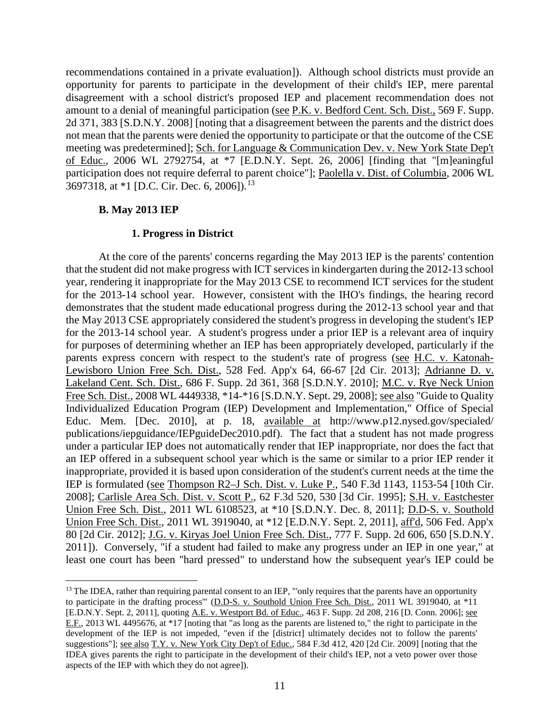recommendations contained in a private evaluation]). Although school districts must provide an opportunity for parents to participate in the development of their child's IEP, mere parental disagreement with a school district's proposed IEP and placement recommendation does not amount to a denial of meaningful participation (see P.K. v. Bedford Cent. Sch. Dist., 569 F. Supp. 2d 371, 383 [S.D.N.Y. 2008] [noting that a disagreement between the parents and the district does not mean that the parents were denied the opportunity to participate or that the outcome of the CSE meeting was predetermined]; Sch. for Language & Communication Dev. v. New York State Dep't of Educ., 2006 WL 2792754, at \*7 [E.D.N.Y. Sept. 26, 2006] [finding that "[m]eaningful participation does not require deferral to parent choice"]; Paolella v. Dist. of Columbia, 2006 WL 3697318, at \*1 [D.C. Cir. Dec. 6, 2006]).<sup>13</sup>

# **B. May 2013 IEP**

 $\overline{a}$ 

#### **1. Progress in District**

At the core of the parents' concerns regarding the May 2013 IEP is the parents' contention that the student did not make progress with ICT services in kindergarten during the 2012-13 school year, rendering it inappropriate for the May 2013 CSE to recommend ICT services for the student for the 2013-14 school year. However, consistent with the IHO's findings, the hearing record demonstrates that the student made educational progress during the 2012-13 school year and that the May 2013 CSE appropriately considered the student's progress in developing the student's IEP for the 2013-14 school year. A student's progress under a prior IEP is a relevant area of inquiry for purposes of determining whether an IEP has been appropriately developed, particularly if the parents express concern with respect to the student's rate of progress (see H.C. v. Katonah-Lewisboro Union Free Sch. Dist., 528 Fed. App'x 64, 66-67 [2d Cir. 2013]; Adrianne D. v. Lakeland Cent. Sch. Dist., 686 F. Supp. 2d 361, 368 [S.D.N.Y. 2010]; M.C. v. Rye Neck Union Free Sch. Dist., 2008 WL 4449338, \*14-\*16 [S.D.N.Y. Sept. 29, 2008]; see also "Guide to Quality Individualized Education Program (IEP) Development and Implementation," Office of Special Educ. Mem. [Dec. 2010], at p. 18, available at http://www.p12.nysed.gov/specialed/ publications/iepguidance/IEPguideDec2010.pdf). The fact that a student has not made progress under a particular IEP does not automatically render that IEP inappropriate, nor does the fact that an IEP offered in a subsequent school year which is the same or similar to a prior IEP render it inappropriate, provided it is based upon consideration of the student's current needs at the time the IEP is formulated (see Thompson R2–J Sch. Dist. v. Luke P., 540 F.3d 1143, 1153-54 [10th Cir. 2008]; Carlisle Area Sch. Dist. v. Scott P., 62 F.3d 520, 530 [3d Cir. 1995]; S.H. v. Eastchester Union Free Sch. Dist., 2011 WL 6108523, at \*10 [S.D.N.Y. Dec. 8, 2011]; D.D-S. v. Southold Union Free Sch. Dist., 2011 WL 3919040, at \*12 [E.D.N.Y. Sept. 2, 2011], aff'd, 506 Fed. App'x 80 [2d Cir. 2012]; J.G. v. Kiryas Joel Union Free Sch. Dist., 777 F. Supp. 2d 606, 650 [S.D.N.Y. 2011]). Conversely, "if a student had failed to make any progress under an IEP in one year," at least one court has been "hard pressed" to understand how the subsequent year's IEP could be

<sup>&</sup>lt;sup>13</sup> The IDEA, rather than requiring parental consent to an IEP, "'only requires that the parents have an opportunity to participate in the drafting process'" (D.D-S. v. Southold Union Free Sch. Dist., 2011 WL 3919040, at \*11 [E.D.N.Y. Sept. 2, 2011], quoting A.E. v. Westport Bd. of Educ., 463 F. Supp. 2d 208, 216 [D. Conn. 2006]; see E.F., 2013 WL 4495676, at \*17 [noting that "as long as the parents are listened to," the right to participate in the development of the IEP is not impeded, "even if the [district] ultimately decides not to follow the parents' suggestions"]; see also T.Y. v. New York City Dep't of Educ., 584 F.3d 412, 420 [2d Cir. 2009] [noting that the IDEA gives parents the right to participate in the development of their child's IEP, not a veto power over those aspects of the IEP with which they do not agree]).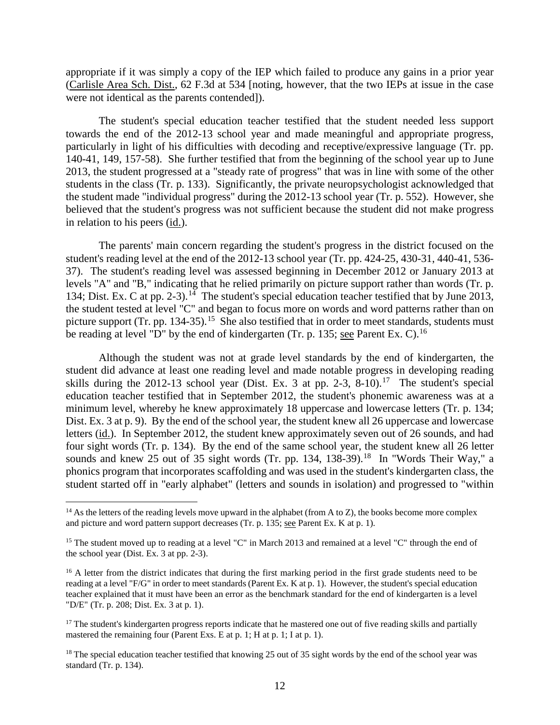appropriate if it was simply a copy of the IEP which failed to produce any gains in a prior year (Carlisle Area Sch. Dist., 62 F.3d at 534 [noting, however, that the two IEPs at issue in the case were not identical as the parents contended]).

The student's special education teacher testified that the student needed less support towards the end of the 2012-13 school year and made meaningful and appropriate progress, particularly in light of his difficulties with decoding and receptive/expressive language (Tr. pp. 140-41, 149, 157-58). She further testified that from the beginning of the school year up to June 2013, the student progressed at a "steady rate of progress" that was in line with some of the other students in the class (Tr. p. 133). Significantly, the private neuropsychologist acknowledged that the student made "individual progress" during the 2012-13 school year (Tr. p. 552). However, she believed that the student's progress was not sufficient because the student did not make progress in relation to his peers (id.).

 The parents' main concern regarding the student's progress in the district focused on the student's reading level at the end of the 2012-13 school year (Tr. pp. 424-25, 430-31, 440-41, 536- 37). The student's reading level was assessed beginning in December 2012 or January 2013 at levels "A" and "B," indicating that he relied primarily on picture support rather than words (Tr. p. 134; Dist. Ex. C at pp. 2-3).<sup>14</sup> The student's special education teacher testified that by June 2013, the student tested at level "C" and began to focus more on words and word patterns rather than on picture support (Tr. pp. 134-35).<sup>15</sup> She also testified that in order to meet standards, students must be reading at level "D" by the end of kindergarten (Tr. p. 135; see Parent Ex. C).<sup>16</sup>

Although the student was not at grade level standards by the end of kindergarten, the student did advance at least one reading level and made notable progress in developing reading skills during the 2012-13 school year (Dist. Ex. 3 at pp. 2-3,  $8-10$ ).<sup>17</sup> The student's special education teacher testified that in September 2012, the student's phonemic awareness was at a minimum level, whereby he knew approximately 18 uppercase and lowercase letters (Tr. p. 134; Dist. Ex. 3 at p. 9). By the end of the school year, the student knew all 26 uppercase and lowercase letters (id.). In September 2012, the student knew approximately seven out of 26 sounds, and had four sight words (Tr. p. 134). By the end of the same school year, the student knew all 26 letter sounds and knew 25 out of 35 sight words (Tr. pp. 134, 138-39).<sup>18</sup> In "Words Their Way," a phonics program that incorporates scaffolding and was used in the student's kindergarten class, the student started off in "early alphabet" (letters and sounds in isolation) and progressed to "within

 $14$  As the letters of the reading levels move upward in the alphabet (from A to Z), the books become more complex and picture and word pattern support decreases (Tr. p. 135; see Parent Ex. K at p. 1).

<sup>&</sup>lt;sup>15</sup> The student moved up to reading at a level "C" in March 2013 and remained at a level "C" through the end of the school year (Dist. Ex. 3 at pp. 2-3).

<sup>&</sup>lt;sup>16</sup> A letter from the district indicates that during the first marking period in the first grade students need to be reading at a level "F/G" in order to meet standards (Parent Ex. K at p. 1). However, the student's special education teacher explained that it must have been an error as the benchmark standard for the end of kindergarten is a level "D/E" (Tr. p. 208; Dist. Ex. 3 at p. 1).

<sup>&</sup>lt;sup>17</sup> The student's kindergarten progress reports indicate that he mastered one out of five reading skills and partially mastered the remaining four (Parent Exs. E at p. 1; H at p. 1; I at p. 1).

<sup>&</sup>lt;sup>18</sup> The special education teacher testified that knowing 25 out of 35 sight words by the end of the school year was standard (Tr. p. 134).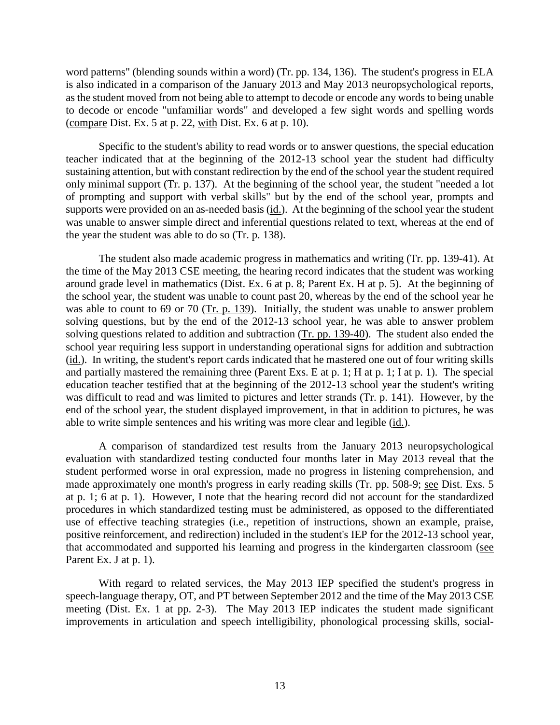word patterns" (blending sounds within a word) (Tr. pp. 134, 136). The student's progress in ELA is also indicated in a comparison of the January 2013 and May 2013 neuropsychological reports, as the student moved from not being able to attempt to decode or encode any words to being unable to decode or encode "unfamiliar words" and developed a few sight words and spelling words (compare Dist. Ex. 5 at p. 22, with Dist. Ex. 6 at p. 10).

Specific to the student's ability to read words or to answer questions, the special education teacher indicated that at the beginning of the 2012-13 school year the student had difficulty sustaining attention, but with constant redirection by the end of the school year the student required only minimal support (Tr. p. 137). At the beginning of the school year, the student "needed a lot of prompting and support with verbal skills" but by the end of the school year, prompts and supports were provided on an as-needed basis (id.). At the beginning of the school year the student was unable to answer simple direct and inferential questions related to text, whereas at the end of the year the student was able to do so (Tr. p. 138).

 The student also made academic progress in mathematics and writing (Tr. pp. 139-41). At the time of the May 2013 CSE meeting, the hearing record indicates that the student was working around grade level in mathematics (Dist. Ex. 6 at p. 8; Parent Ex. H at p. 5). At the beginning of the school year, the student was unable to count past 20, whereas by the end of the school year he was able to count to 69 or 70 (Tr. p. 139). Initially, the student was unable to answer problem solving questions, but by the end of the 2012-13 school year, he was able to answer problem solving questions related to addition and subtraction (Tr. pp. 139-40). The student also ended the school year requiring less support in understanding operational signs for addition and subtraction (id.). In writing, the student's report cards indicated that he mastered one out of four writing skills and partially mastered the remaining three (Parent Exs. E at p. 1; H at p. 1; I at p. 1). The special education teacher testified that at the beginning of the 2012-13 school year the student's writing was difficult to read and was limited to pictures and letter strands (Tr. p. 141). However, by the end of the school year, the student displayed improvement, in that in addition to pictures, he was able to write simple sentences and his writing was more clear and legible (id.).

A comparison of standardized test results from the January 2013 neuropsychological evaluation with standardized testing conducted four months later in May 2013 reveal that the student performed worse in oral expression, made no progress in listening comprehension, and made approximately one month's progress in early reading skills (Tr. pp. 508-9; see Dist. Exs. 5 at p. 1; 6 at p. 1). However, I note that the hearing record did not account for the standardized procedures in which standardized testing must be administered, as opposed to the differentiated use of effective teaching strategies (i.e., repetition of instructions, shown an example, praise, positive reinforcement, and redirection) included in the student's IEP for the 2012-13 school year, that accommodated and supported his learning and progress in the kindergarten classroom (see Parent Ex. J at p. 1).

With regard to related services, the May 2013 IEP specified the student's progress in speech-language therapy, OT, and PT between September 2012 and the time of the May 2013 CSE meeting (Dist. Ex. 1 at pp. 2-3). The May 2013 IEP indicates the student made significant improvements in articulation and speech intelligibility, phonological processing skills, social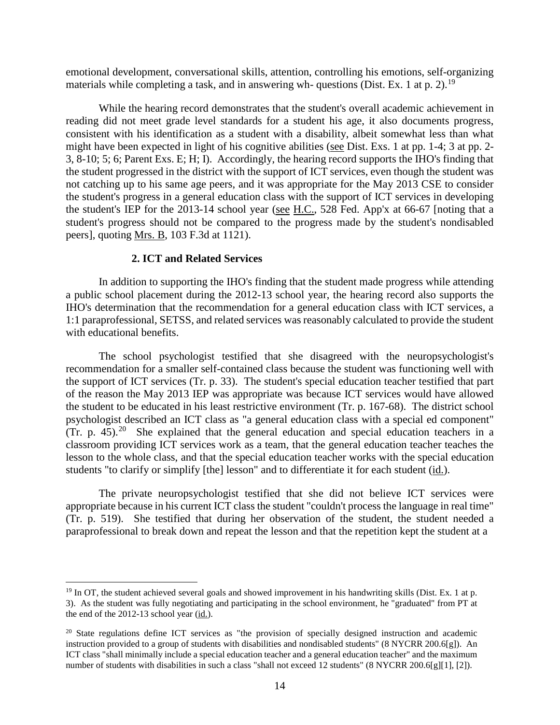emotional development, conversational skills, attention, controlling his emotions, self-organizing materials while completing a task, and in answering wh-questions (Dist. Ex. 1 at p. 2).<sup>19</sup>

While the hearing record demonstrates that the student's overall academic achievement in reading did not meet grade level standards for a student his age, it also documents progress, consistent with his identification as a student with a disability, albeit somewhat less than what might have been expected in light of his cognitive abilities (see Dist. Exs. 1 at pp. 1-4; 3 at pp. 2- 3, 8-10; 5; 6; Parent Exs. E; H; I). Accordingly, the hearing record supports the IHO's finding that the student progressed in the district with the support of ICT services, even though the student was not catching up to his same age peers, and it was appropriate for the May 2013 CSE to consider the student's progress in a general education class with the support of ICT services in developing the student's IEP for the 2013-14 school year (see H.C., 528 Fed. App'x at 66-67 [noting that a student's progress should not be compared to the progress made by the student's nondisabled peers], quoting Mrs. B, 103 F.3d at 1121).

#### **2. ICT and Related Services**

 $\overline{a}$ 

 In addition to supporting the IHO's finding that the student made progress while attending a public school placement during the 2012-13 school year, the hearing record also supports the IHO's determination that the recommendation for a general education class with ICT services, a 1:1 paraprofessional, SETSS, and related services was reasonably calculated to provide the student with educational benefits.

The school psychologist testified that she disagreed with the neuropsychologist's recommendation for a smaller self-contained class because the student was functioning well with the support of ICT services (Tr. p. 33). The student's special education teacher testified that part of the reason the May 2013 IEP was appropriate was because ICT services would have allowed the student to be educated in his least restrictive environment (Tr. p. 167-68). The district school psychologist described an ICT class as "a general education class with a special ed component" (Tr. p. 45).<sup>20</sup> She explained that the general education and special education teachers in a classroom providing ICT services work as a team, that the general education teacher teaches the lesson to the whole class, and that the special education teacher works with the special education students "to clarify or simplify [the] lesson" and to differentiate it for each student (id.).

The private neuropsychologist testified that she did not believe ICT services were appropriate because in his current ICT class the student "couldn't process the language in real time" (Tr. p. 519). She testified that during her observation of the student, the student needed a paraprofessional to break down and repeat the lesson and that the repetition kept the student at a

 $19$  In OT, the student achieved several goals and showed improvement in his handwriting skills (Dist. Ex. 1 at p. 3). As the student was fully negotiating and participating in the school environment, he "graduated" from PT at the end of the 2012-13 school year (id.).

<sup>&</sup>lt;sup>20</sup> State regulations define ICT services as "the provision of specially designed instruction and academic instruction provided to a group of students with disabilities and nondisabled students" (8 NYCRR 200.6[g]). An ICT class "shall minimally include a special education teacher and a general education teacher" and the maximum number of students with disabilities in such a class "shall not exceed 12 students" (8 NYCRR 200.6[g][1], [2]).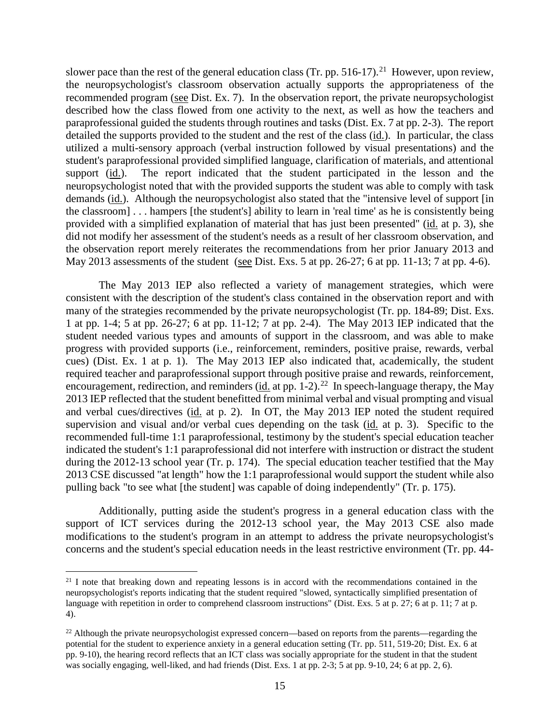slower pace than the rest of the general education class (Tr. pp. 516-17).<sup>21</sup> However, upon review, the neuropsychologist's classroom observation actually supports the appropriateness of the recommended program (see Dist. Ex. 7). In the observation report, the private neuropsychologist described how the class flowed from one activity to the next, as well as how the teachers and paraprofessional guided the students through routines and tasks (Dist. Ex. 7 at pp. 2-3). The report detailed the supports provided to the student and the rest of the class (id.). In particular, the class utilized a multi-sensory approach (verbal instruction followed by visual presentations) and the student's paraprofessional provided simplified language, clarification of materials, and attentional support (id.). The report indicated that the student participated in the lesson and the neuropsychologist noted that with the provided supports the student was able to comply with task demands (id.). Although the neuropsychologist also stated that the "intensive level of support [in the classroom] . . . hampers [the student's] ability to learn in 'real time' as he is consistently being provided with a simplified explanation of material that has just been presented" (id. at p. 3), she did not modify her assessment of the student's needs as a result of her classroom observation, and the observation report merely reiterates the recommendations from her prior January 2013 and May 2013 assessments of the student (see Dist. Exs. 5 at pp. 26-27; 6 at pp. 11-13; 7 at pp. 4-6).

The May 2013 IEP also reflected a variety of management strategies, which were consistent with the description of the student's class contained in the observation report and with many of the strategies recommended by the private neuropsychologist (Tr. pp. 184-89; Dist. Exs. 1 at pp. 1-4; 5 at pp. 26-27; 6 at pp. 11-12; 7 at pp. 2-4). The May 2013 IEP indicated that the student needed various types and amounts of support in the classroom, and was able to make progress with provided supports (i.e., reinforcement, reminders, positive praise, rewards, verbal cues) (Dist. Ex. 1 at p. 1). The May 2013 IEP also indicated that, academically, the student required teacher and paraprofessional support through positive praise and rewards, reinforcement, encouragement, redirection, and reminders ( $\underline{\text{id}}$  at pp. 1-2).<sup>22</sup> In speech-language therapy, the May 2013 IEP reflected that the student benefitted from minimal verbal and visual prompting and visual and verbal cues/directives (id. at p. 2). In OT, the May 2013 IEP noted the student required supervision and visual and/or verbal cues depending on the task (id. at p. 3). Specific to the recommended full-time 1:1 paraprofessional, testimony by the student's special education teacher indicated the student's 1:1 paraprofessional did not interfere with instruction or distract the student during the 2012-13 school year (Tr. p. 174). The special education teacher testified that the May 2013 CSE discussed "at length" how the 1:1 paraprofessional would support the student while also pulling back "to see what [the student] was capable of doing independently" (Tr. p. 175).

Additionally, putting aside the student's progress in a general education class with the support of ICT services during the 2012-13 school year, the May 2013 CSE also made modifications to the student's program in an attempt to address the private neuropsychologist's concerns and the student's special education needs in the least restrictive environment (Tr. pp. 44-

 $21$  I note that breaking down and repeating lessons is in accord with the recommendations contained in the neuropsychologist's reports indicating that the student required "slowed, syntactically simplified presentation of language with repetition in order to comprehend classroom instructions" (Dist. Exs. 5 at p. 27; 6 at p. 11; 7 at p. 4).

 $^{22}$  Although the private neuropsychologist expressed concern—based on reports from the parents—regarding the potential for the student to experience anxiety in a general education setting (Tr. pp. 511, 519-20; Dist. Ex. 6 at pp. 9-10), the hearing record reflects that an ICT class was socially appropriate for the student in that the student was socially engaging, well-liked, and had friends (Dist. Exs. 1 at pp. 2-3; 5 at pp. 9-10, 24; 6 at pp. 2, 6).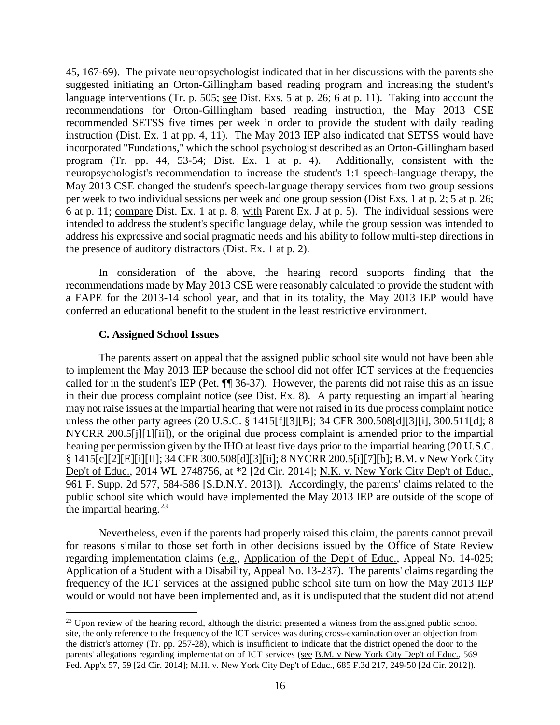45, 167-69). The private neuropsychologist indicated that in her discussions with the parents she suggested initiating an Orton-Gillingham based reading program and increasing the student's language interventions (Tr. p. 505; see Dist. Exs. 5 at p. 26; 6 at p. 11). Taking into account the recommendations for Orton-Gillingham based reading instruction, the May 2013 CSE recommended SETSS five times per week in order to provide the student with daily reading instruction (Dist. Ex. 1 at pp. 4, 11). The May 2013 IEP also indicated that SETSS would have incorporated "Fundations," which the school psychologist described as an Orton-Gillingham based program (Tr. pp. 44, 53-54; Dist. Ex. 1 at p. 4). Additionally, consistent with the neuropsychologist's recommendation to increase the student's 1:1 speech-language therapy, the May 2013 CSE changed the student's speech-language therapy services from two group sessions per week to two individual sessions per week and one group session (Dist Exs. 1 at p. 2; 5 at p. 26; 6 at p. 11; compare Dist. Ex. 1 at p. 8, with Parent Ex. J at p. 5). The individual sessions were intended to address the student's specific language delay, while the group session was intended to address his expressive and social pragmatic needs and his ability to follow multi-step directions in the presence of auditory distractors (Dist. Ex. 1 at p. 2).

In consideration of the above, the hearing record supports finding that the recommendations made by May 2013 CSE were reasonably calculated to provide the student with a FAPE for the 2013-14 school year, and that in its totality, the May 2013 IEP would have conferred an educational benefit to the student in the least restrictive environment.

#### **C. Assigned School Issues**

The parents assert on appeal that the assigned public school site would not have been able to implement the May 2013 IEP because the school did not offer ICT services at the frequencies called for in the student's IEP (Pet. ¶¶ 36-37). However, the parents did not raise this as an issue in their due process complaint notice (see Dist. Ex. 8). A party requesting an impartial hearing may not raise issues at the impartial hearing that were not raised in its due process complaint notice unless the other party agrees (20 U.S.C. § 1415[f][3][B]; 34 CFR 300.508[d][3][i], 300.511[d]; 8 NYCRR 200.5[j][1][ii]), or the original due process complaint is amended prior to the impartial hearing per permission given by the IHO at least five days prior to the impartial hearing (20 U.S.C. § 1415[c][2][E][i][II]; 34 CFR 300.508[d][3][ii]; 8 NYCRR 200.5[i][7][b]; B.M. v New York City Dep't of Educ., 2014 WL 2748756, at \*2 [2d Cir. 2014]; N.K. v. New York City Dep't of Educ., 961 F. Supp. 2d 577, 584-586 [S.D.N.Y. 2013]). Accordingly, the parents' claims related to the public school site which would have implemented the May 2013 IEP are outside of the scope of the impartial hearing. $^{23}$ 

Nevertheless, even if the parents had properly raised this claim, the parents cannot prevail for reasons similar to those set forth in other decisions issued by the Office of State Review regarding implementation claims (e.g., Application of the Dep't of Educ., Appeal No. 14-025; Application of a Student with a Disability, Appeal No. 13-237). The parents' claims regarding the frequency of the ICT services at the assigned public school site turn on how the May 2013 IEP would or would not have been implemented and, as it is undisputed that the student did not attend

<sup>&</sup>lt;sup>23</sup> Upon review of the hearing record, although the district presented a witness from the assigned public school site, the only reference to the frequency of the ICT services was during cross-examination over an objection from the district's attorney (Tr. pp. 257-28), which is insufficient to indicate that the district opened the door to the parents' allegations regarding implementation of ICT services (see B.M. v New York City Dep't of Educ., 569 Fed. App'x 57, 59 [2d Cir. 2014]; M.H. v. New York City Dep't of Educ., 685 F.3d 217, 249-50 [2d Cir. 2012]).